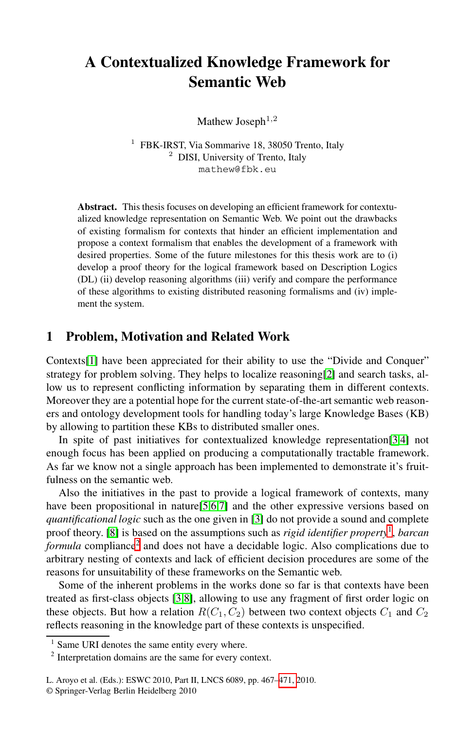# **A Contextualized Knowledge Framework for Semantic Web**

Mathew Joseph<sup>1,2</sup>

<sup>1</sup> FBK-IRST, Via Sommarive 18, 38050 Trento, Italy <sup>2</sup> DISI, University of Trento, Italy mathew@fbk.eu

<span id="page-0-2"></span>**Abstract.** This thesis focuses on developing an efficient framework for contextualized knowledge representation on Semantic Web. We point out the drawbacks of existing formalism for contexts that hinder an efficient implementation and propose a context formalism that enables the development of a framework with desired properties. Some of the future milestones for this thesis work are to (i) develop a proof theory for the logical [fra](#page-4-0)mework based on Description Logics (DL) (ii) develop reasoning algorithms (iii) verify and compare the performance of these algorithms to existing distributed reasoning formalisms and (iv) implement the system.

### **1 Problem, Motivation and Related Work**

Contexts[1] have been appreciated for their ability to use the "Divide and Conquer" strategy for problem solving. They helps to localize reasoning[2] and search tasks, allow us to represent conflicting information by separating them in different contexts. Moreover the[y a](#page-4-1)[re](#page-4-2) [a](#page-4-3) potential hope for the current state-of-the-art semantic web reasoners and ontology develop[me](#page-4-4)nt tools for handling today's large Knowledge Bases (KB) by allowing to partition these KBs to distributed smaller [o](#page-0-0)nes.

In spite of past initiatives for contextualized knowledge representation[3,4] not [e](#page-0-1)nough focus has been applied on producing a computationally tractable framework. As far we know not a single approach has been implemented to demonstrate it's fruitfulness on the semantic web.

Also [th](#page-4-4)[e](#page-4-5) initiatives in the past to provide a logical framework of contexts, many have been propositional in nature[5,6,7] and the other expressive versions based on *quantificational logic* such as the one given in [3] do not provide a sound and complete proof theory. [8] is based on the assumptions such as *rigid identifier property*1, *barcan formula* compliance<sup>2</sup> and does not have a decidable logic. Also complications due to arbitrary nesting of contexts and lack of efficient decision procedures are some of the reasons for unsuitability of thes[e fram](#page-4-6)eworks on the Semantic web.

<span id="page-0-1"></span><span id="page-0-0"></span>Some of the inherent problems in the works done so far is that contexts have been treated as first-class objects [3,8], allowing to use any fragment of first order logic on these objects. But how a relation  $R(C_1, C_2)$  between two context objects  $C_1$  and  $C_2$ reflects reasoning in the knowledge part of these contexts is unspecified.

 $<sup>1</sup>$  Same URI denotes the same entity every where.</sup>

<sup>2</sup> Interpretation domains are the same for every context.

L. Aroyo et al. (Eds.): ESWC 2010, Part II, LNCS 6089, pp. 467–471, 2010.

<sup>©</sup> Springer-Verlag Berlin Heidelberg 2010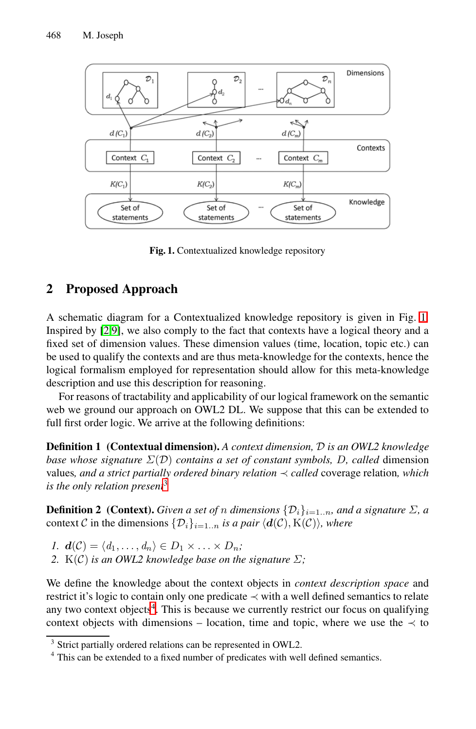468 M. Joseph



**Fig. 1.** Contextualized knowledge repository

## <span id="page-1-2"></span>**2 Proposed Approach**

A schematic diagram for a Contextualized knowledge repository is given in Fig. 1. Inspired by [2,9], we also comply to the fact that contexts have a logical theory and a fixed set of dimension values. These dimension values (time, location, topic etc.) can be used to qualify the contexts and are thus meta-knowledge for the contexts, hence the logical formalism employed for representation should allow for this meta-knowledge descr[ip](#page-1-0)tion and use this description for reasoning.

For reasons of tractability and applicability of our logical framework on the semantic web we ground our approach on OWL2 DL. We suppose that this can be extended to full first order logic. We arrive at the following definitions:

**Definition 1 (Contextual dimension).** *A context dimension,* D *is an OWL2 knowledge base whose signature* Σ(D) *contains a set of constant symbols,* D*, called* dimension values*, and a strict partially ordered binary relation* ≺ *called* coverage relation*, which is the only relation present*<sup>3</sup>

**De[fi](#page-1-1)nition 2** (Context). *Given a set of n dimensions*  $\{\mathcal{D}_i\}_{i=1..n}$ *, and a signature*  $\Sigma$ *, a* context C in the dimensions  $\{\mathcal{D}_i\}_{i=1..n}$  *is a pair*  $\langle d(\mathcal{C}), K(\mathcal{C})\rangle$ *, where* 

- *1.*  $d(\mathcal{C}) = \langle d_1, \ldots, d_n \rangle \in D_1 \times \ldots \times D_n;$
- *2.* K(C) *is an OWL2 knowledge base on the signature*  $\Sigma$ *;*

<span id="page-1-1"></span><span id="page-1-0"></span>We define the knowledge about the context objects in *context description space* and restrict it's logic to contain only one predicate ≺ with a well defined semantics to relate any two context objects<sup>4</sup>. This is because we currently restrict our focus on qualifying context objects with dimensions – location, time and topic, where we use the  $\prec$  to

<sup>&</sup>lt;sup>3</sup> Strict partially ordered relations can be represented in OWL2.

<sup>&</sup>lt;sup>4</sup> This can be extended to a fixed number of predicates with well defined semantics.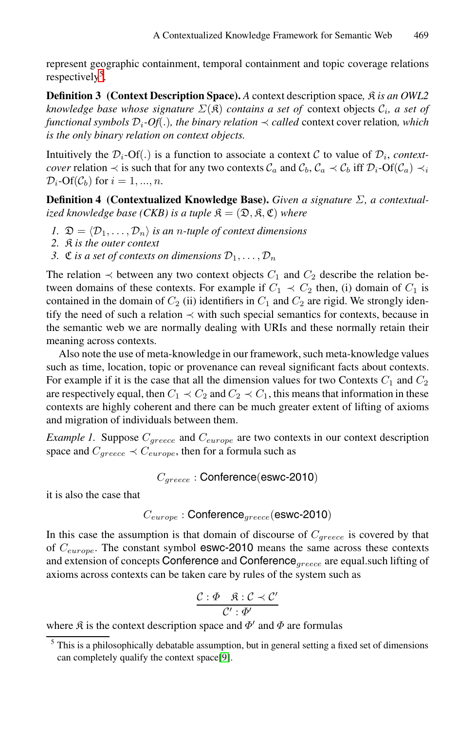represent geographic containment, temporal containment and topic coverage relations respectively<sup>5</sup>.

**Definition 3 (Context Description Space).** *A* context description space,  $\hat{\mathcal{R}}$  *is an OWL2 knowledge base whose signature*  $\Sigma(\mathfrak{K})$  *contains a set of* context objects  $\mathcal{C}_i$ *, a set of functional symbols*  $\mathcal{D}_i$ *-Of*(.)*, the binary relation*  $\prec$  *called* context cover relation, which *is the only binary relation on context objects.*

Intuitively the  $\mathcal{D}_i$ -Of(.) is a function to associate a context C to value of  $\mathcal{D}_i$ , *contextcover* relation  $\prec$  is such that for any two contexts  $C_a$  and  $C_b$ ,  $C_a \prec C_b$  iff  $\mathcal{D}_i$ -Of( $C_a$ )  $\prec_i$  $\mathcal{D}_i$ -Of( $\mathcal{C}_b$ ) for  $i = 1, ..., n$ .

**Definition 4 (Contextualized Knowledge Base).** *Given a signature* Σ*, a contextualized knowledge base (CKB) is a tuple*  $\mathfrak{K} = (\mathfrak{D}, \mathfrak{K}, \mathfrak{C})$  *where* 

- *1.*  $\mathfrak{D} = \langle \mathcal{D}_1, \ldots, \mathcal{D}_n \rangle$  *is an n-tuple of context dimensions*
- *2.* K *is the outer context*
- *3.*  $\mathfrak{C}$  *is a set of contexts on dimensions*  $\mathcal{D}_1, \ldots, \mathcal{D}_n$

The relation  $\prec$  between any two context objects  $C_1$  and  $C_2$  describe the relation between domains of these contexts. For example if  $C_1 \prec C_2$  then, (i) domain of  $C_1$  is contained in the domain of  $C_2$  (ii) identifiers in  $C_1$  and  $C_2$  are rigid. We strongly identify the need of such a relation  $\prec$  with such special semantics for contexts, because in the semantic web we are normally dealing with URIs and these normally retain their meaning across contexts.

Also note the use of meta-knowledge in our framework, such meta-knowledge values such as time, location, topic or provenance can reveal significant facts about contexts. For example if it is the case that all the dimension values for two Contexts  $C_1$  and  $C_2$ are respectively equal, then  $C_1 \prec C_2$  and  $C_2 \prec C_1$ , this means that information in these contexts are highly coherent and there can be much greater extent of lifting of axioms and migration of individuals between them.

*Example 1.* Suppose  $C_{greece}$  and  $C_{europe}$  are two contexts in our context description space and  $C_{greece} \prec C_{europe}$ , then for a formula such as

<sup>C</sup>*greece* : Conference(eswc-2010)

it is also the case that

$$
C_{europe}: {\sf Conference}_{greece}({\sf eswc\text{-}2010})
$$

In this case the assumption is that domain of discourse of <sup>C</sup>*greece* is covered by that of <sup>C</sup>*europe*. The constant symbol eswc-2010 means the same across these contexts and extension of c[on](#page-4-7)cepts Conference and Conference*greece* are equal.such lifting of axioms across contexts can be taken care by rules of the system such as

$$
\frac{\mathcal{C}:\varPhi \quad \mathfrak{K}:\mathcal{C} \prec \mathcal{C}'}{\mathcal{C}':\varPhi'}
$$

where  $\hat{\mathcal{R}}$  is the context description space and  $\Phi'$  and  $\Phi$  are formulas

 $<sup>5</sup>$  This is a philosophically debatable assumption, but in general setting a fixed set of dimensions</sup> can completely qualify the context space[9].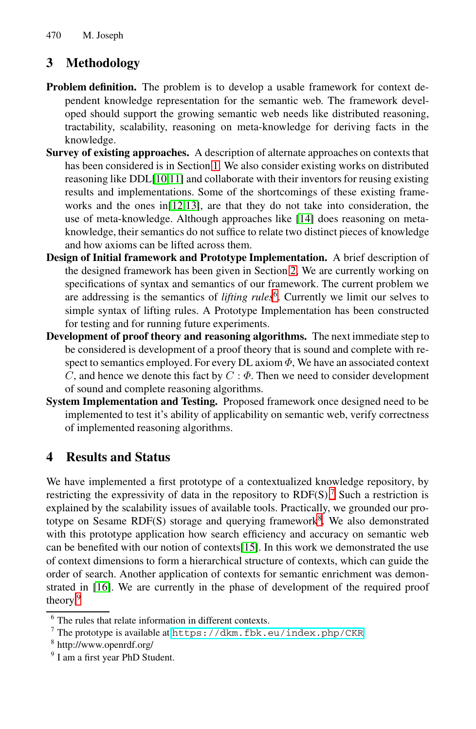<span id="page-3-3"></span>470 M. Joseph

## **3 Methodol[og](#page-0-2)y**

- **Pro[ble](#page-4-8)m definition.** The problem is to develop a usable framework for context depe[nde](#page-4-9)[nt k](#page-4-10)nowledge representation for the semantic web. The framework developed should support the growi[ng s](#page-4-11)emantic web needs like distributed reasoning, tractability, scalability, reasoning on meta-knowledge for deriving facts in the knowledge.
- **Survey of existing approaches.** A description of alternate approaches on contexts that has been considered is in Sect[ion](#page-1-2) 1. We also consider existing works on distributed reasoning like DDL[10,11] and collaborate with their inventors for reusing existing results and implementati[on](#page-3-0)s. Some of the shortcomings of these existing frameworks and the ones in[12,13], are that they do not take into consideration, the use of meta-knowledge. Although approaches like [14] does reasoning on metaknowledge, their semantics do not suffice to relate two distinct pieces of knowledge and how axioms can be lifted across them.
- **Design of Initial framework and Prototype Implementation.** A brief description of the designed framework has been given in Section 2, We are currently working on specifications of syntax and semantics of our framework. The current problem we are addressing is the semantics of *lifting rules*<sup>6</sup>. Currently we limit our selves to simple syntax of lifting rules. A Prototype Implementation has been constructed for testing and for running future experiments.
- **Development of proof theory and reasoning algorithms.** The next immediate step to be considered is development of a proof theory that is sound and complete with respect to semantics employed. For every DL axiom  $\Phi$ , We have an associated context C, and hence we denote this fact by  $C : \Phi$ . Then we need to consider development of sound and complete reasoning algor[ith](#page-3-1)ms.
- **System Implementation and Testing.** Proposed framework once designed need to be implemented to test it's ability of ap[pl](#page-3-2)icability on semantic web, verify correctness of implemented reasoning algorithms.

### **4 Results and Status**

<span id="page-3-1"></span><span id="page-3-0"></span>We have implemented a first prototype of a contextualized knowledge repository, by restricting the expressivity of data in the repository to  $RDF(S)$ .<sup>7</sup> Such a restriction is explained by the scalability issues of available tools. Practically, we grounded our prototype on Sesame RDF(S) storage and querying framework<sup>8</sup>. We also demonstrated with th[is](https://dkm.fbk.eu/index.php/CKR) [prototype](https://dkm.fbk.eu/index.php/CKR) [application](https://dkm.fbk.eu/index.php/CKR) [how](https://dkm.fbk.eu/index.php/CKR) [search](https://dkm.fbk.eu/index.php/CKR) [efficien](https://dkm.fbk.eu/index.php/CKR)cy and accuracy on semantic web can be benefited with our notion of contexts[15]. In this work we demonstrated the use of context dimensions to form a hierarchical structure of contexts, which can guide the order of search. Another application of contexts for semantic enrichment was demonstrated in [16]. We are currently in the phase of development of the required proof theory.<sup>9</sup>

<span id="page-3-2"></span> $\overline{6}$  The rules that relate information in different contexts.

<sup>7</sup> The prototype is available at https://dkm.fbk.eu/index.php/CKR

<sup>8</sup> http://www.openrdf.org/

<sup>&</sup>lt;sup>9</sup> I am a first year PhD Student.